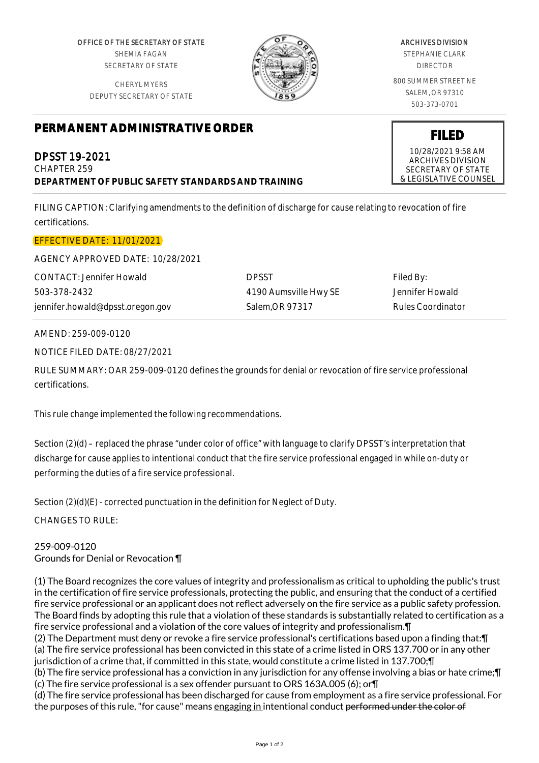OFFICE OF THE SECRETARY OF STATE SHEMIA FAGAN SECRETARY OF STATE

CHERYL MYERS DEPUTY SECRETARY OF STATE

## **PERMANENT ADMINISTRATIVE ORDER**

DPSST 19-2021 CHAPTER 259 **DEPARTMENT OF PUBLIC SAFETY STANDARDS AND TRAINING**

FILING CAPTION: Clarifying amendments to the definition of discharge for cause relating to revocation of fire certifications.

## EFFECTIVE DATE: 11/01/2021

AGENCY APPROVED DATE: 10/28/2021

CONTACT: Jennifer Howald 503-378-2432 jennifer.howald@dpsst.oregon.gov DPSST 4190 Aumsville Hwy SE Salem,OR 97317

Filed By: Jennifer Howald Rules Coordinator

## AMEND: 259-009-0120

NOTICE FILED DATE: 08/27/2021

RULE SUMMARY: OAR 259-009-0120 defines the grounds for denial or revocation of fire service professional certifications.

This rule change implemented the following recommendations.

Section (2)(d) – replaced the phrase "under color of office" with language to clarify DPSST's interpretation that discharge for cause applies to intentional conduct that the fire service professional engaged in while on-duty or performing the duties of a fire service professional.

Section (2)(d)(E) - corrected punctuation in the definition for Neglect of Duty.

CHANGES TO RULE:

259-009-0120 Grounds for Denial or Revocation ¶

(1) The Board recognizes the core values of integrity and professionalism as critical to upholding the public's trust in the certification of fire service professionals, protecting the public, and ensuring that the conduct of a certified fire service professional or an applicant does not reflect adversely on the fire service as a public safety profession. The Board finds by adopting this rule that a violation of these standards is substantially related to certification as a fire service professional and a violation of the core values of integrity and professionalism.¶ (2) The Department must deny or revoke a fire service professional's certifications based upon a finding that:¶ (a) The fire service professional has been convicted in this state of a crime listed in ORS 137.700 or in any other jurisdiction of a crime that, if committed in this state, would constitute a crime listed in 137.700;¶ (b) The fire service professional has a conviction in any jurisdiction for any offense involving a bias or hate crime;¶

(c) The fire service professional is a sex offender pursuant to ORS 163A.005 (6); or¶

(d) The fire service professional has been discharged for cause from employment as a fire service professional. For the purposes of this rule, "for cause" means engaging in intentional conduct performed under the color of

## ARCHIVES DIVISION STEPHANIE CLARK

DIRECTOR

800 SUMMER STREET NE SALEM, OR 97310 503-373-0701

**FILED** 10/28/2021 9:58 AM ARCHIVES DIVISION SECRETARY OF STATE & LEGISLATIVE COUNSEL